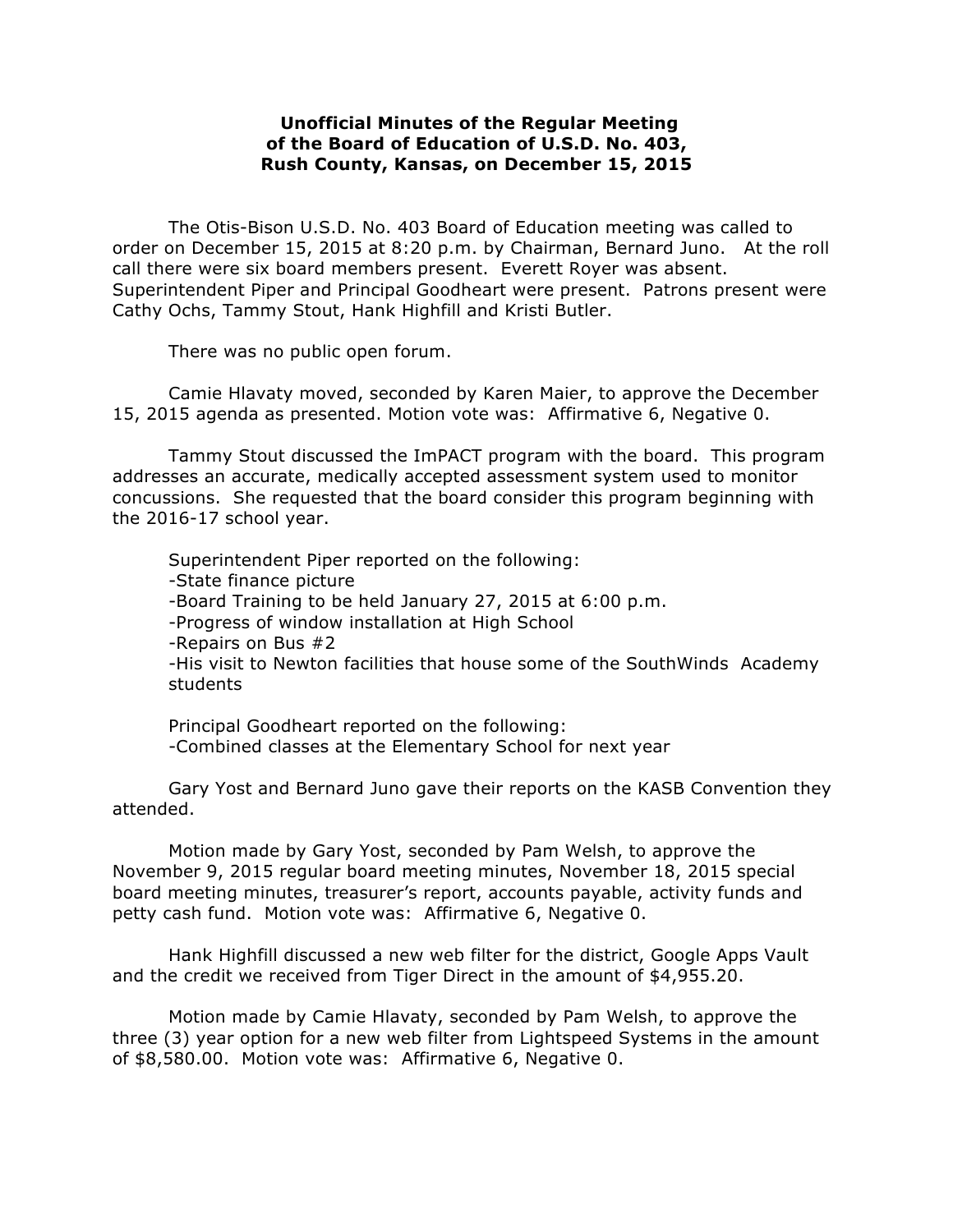## **Unofficial Minutes of the Regular Meeting of the Board of Education of U.S.D. No. 403, Rush County, Kansas, on December 15, 2015**

The Otis-Bison U.S.D. No. 403 Board of Education meeting was called to order on December 15, 2015 at 8:20 p.m. by Chairman, Bernard Juno. At the roll call there were six board members present. Everett Royer was absent. Superintendent Piper and Principal Goodheart were present. Patrons present were Cathy Ochs, Tammy Stout, Hank Highfill and Kristi Butler.

There was no public open forum.

Camie Hlavaty moved, seconded by Karen Maier, to approve the December 15, 2015 agenda as presented. Motion vote was: Affirmative 6, Negative 0.

Tammy Stout discussed the ImPACT program with the board. This program addresses an accurate, medically accepted assessment system used to monitor concussions. She requested that the board consider this program beginning with the 2016-17 school year.

Superintendent Piper reported on the following: -State finance picture -Board Training to be held January 27, 2015 at 6:00 p.m. -Progress of window installation at High School -Repairs on Bus #2 -His visit to Newton facilities that house some of the SouthWinds Academy students

Principal Goodheart reported on the following: -Combined classes at the Elementary School for next year

Gary Yost and Bernard Juno gave their reports on the KASB Convention they attended.

Motion made by Gary Yost, seconded by Pam Welsh, to approve the November 9, 2015 regular board meeting minutes, November 18, 2015 special board meeting minutes, treasurer's report, accounts payable, activity funds and petty cash fund. Motion vote was: Affirmative 6, Negative 0.

Hank Highfill discussed a new web filter for the district, Google Apps Vault and the credit we received from Tiger Direct in the amount of \$4,955.20.

Motion made by Camie Hlavaty, seconded by Pam Welsh, to approve the three (3) year option for a new web filter from Lightspeed Systems in the amount of \$8,580.00. Motion vote was: Affirmative 6, Negative 0.